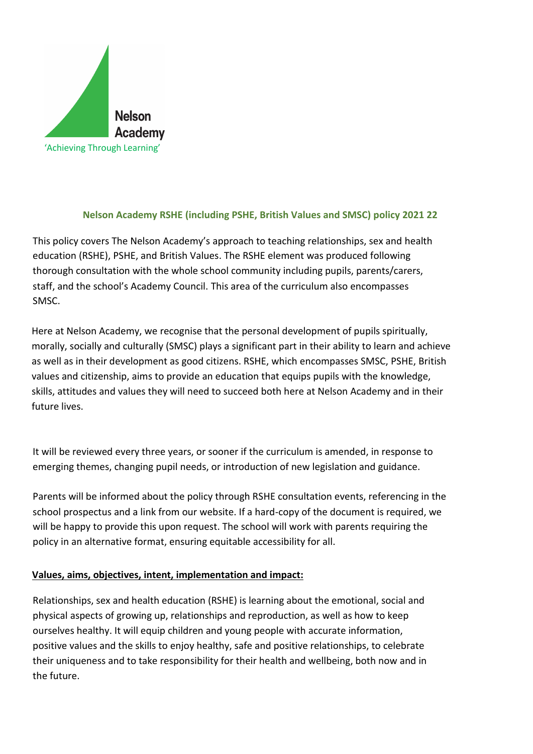

## **Nelson Academy RSHE (including PSHE, British Values and SMSC) policy 2021 22**

This policy covers The Nelson Academy's approach to teaching relationships, sex and health education (RSHE), PSHE, and British Values. The RSHE element was produced following thorough consultation with the whole school community including pupils, parents/carers, staff, and the school's Academy Council. This area of the curriculum also encompasses SMSC.

Here at Nelson Academy, we recognise that the personal development of pupils spiritually, morally, socially and culturally (SMSC) plays a significant part in their ability to learn and achieve as well as in their development as good citizens. RSHE, which encompasses SMSC, PSHE, British values and citizenship, aims to provide an education that equips pupils with the knowledge, skills, attitudes and values they will need to succeed both here at Nelson Academy and in their future lives.

It will be reviewed every three years, or sooner if the curriculum is amended, in response to emerging themes, changing pupil needs, or introduction of new legislation and guidance.

Parents will be informed about the policy through RSHE consultation events, referencing in the school prospectus and a link from our website. If a hard-copy of the document is required, we will be happy to provide this upon request. The school will work with parents requiring the policy in an alternative format, ensuring equitable accessibility for all.

## **Values, aims, objectives, intent, implementation and impact:**

Relationships, sex and health education (RSHE) is learning about the emotional, social and physical aspects of growing up, relationships and reproduction, as well as how to keep ourselves healthy. It will equip children and young people with accurate information, positive values and the skills to enjoy healthy, safe and positive relationships, to celebrate their uniqueness and to take responsibility for their health and wellbeing, both now and in the future.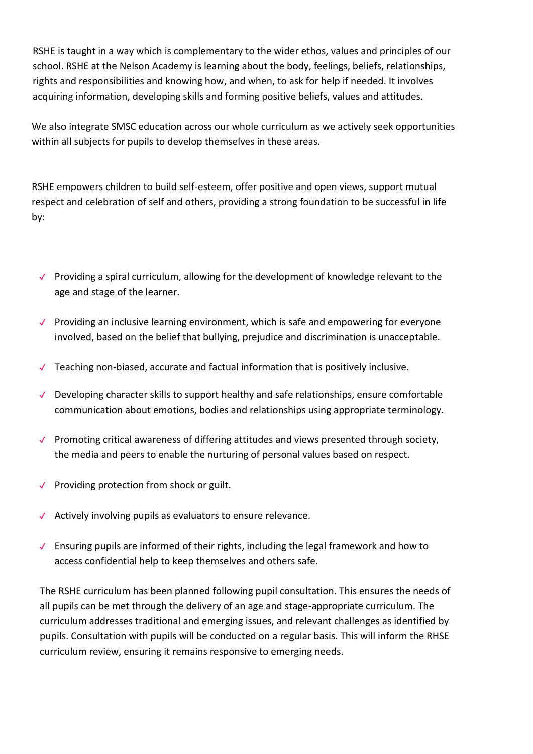RSHE is taught in a way which is complementary to the wider ethos, values and principles of our school. RSHE at the Nelson Academy is learning about the body, feelings, beliefs, relationships, rights and responsibilities and knowing how, and when, to ask for help if needed. It involves acquiring information, developing skills and forming positive beliefs, values and attitudes.

We also integrate SMSC education across our whole curriculum as we actively seek opportunities within all subjects for pupils to develop themselves in these areas.

RSHE empowers children to build self-esteem, offer positive and open views, support mutual respect and celebration of self and others, providing a strong foundation to be successful in life by:

- ✔ Providing a spiral curriculum, allowing for the development of knowledge relevant to the age and stage of the learner.
- ✔ Providing an inclusive learning environment, which is safe and empowering for everyone involved, based on the belief that bullying, prejudice and discrimination is unacceptable.
- ✔ Teaching non-biased, accurate and factual information that is positively inclusive.
- ✔ Developing character skills to support healthy and safe relationships, ensure comfortable communication about emotions, bodies and relationships using appropriate terminology.
- ✔ Promoting critical awareness of differing attitudes and views presented through society, the media and peers to enable the nurturing of personal values based on respect.
- ✔ Providing protection from shock or guilt.
- ✔ Actively involving pupils as evaluators to ensure relevance.
- ✔ Ensuring pupils are informed of their rights, including the legal framework and how to access confidential help to keep themselves and others safe.

The RSHE curriculum has been planned following pupil consultation. This ensures the needs of all pupils can be met through the delivery of an age and stage-appropriate curriculum. The curriculum addresses traditional and emerging issues, and relevant challenges as identified by pupils. Consultation with pupils will be conducted on a regular basis. This will inform the RHSE curriculum review, ensuring it remains responsive to emerging needs.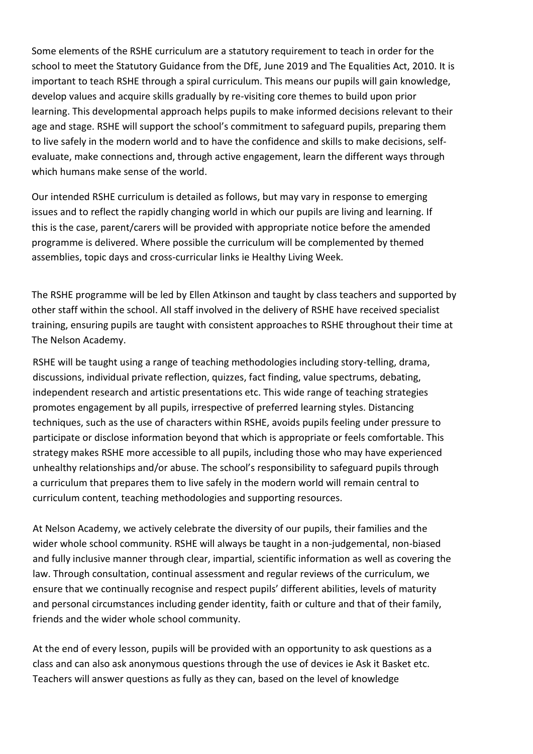Some elements of the RSHE curriculum are a statutory requirement to teach in order for the school to meet the Statutory Guidance from the DfE, June 2019 and The Equalities Act, 2010. It is important to teach RSHE through a spiral curriculum. This means our pupils will gain knowledge, develop values and acquire skills gradually by re-visiting core themes to build upon prior learning. This developmental approach helps pupils to make informed decisions relevant to their age and stage. RSHE will support the school's commitment to safeguard pupils, preparing them to live safely in the modern world and to have the confidence and skills to make decisions, selfevaluate, make connections and, through active engagement, learn the different ways through which humans make sense of the world.

Our intended RSHE curriculum is detailed as follows, but may vary in response to emerging issues and to reflect the rapidly changing world in which our pupils are living and learning. If this is the case, parent/carers will be provided with appropriate notice before the amended programme is delivered. Where possible the curriculum will be complemented by themed assemblies, topic days and cross-curricular links ie Healthy Living Week.

The RSHE programme will be led by Ellen Atkinson and taught by class teachers and supported by other staff within the school. All staff involved in the delivery of RSHE have received specialist training, ensuring pupils are taught with consistent approaches to RSHE throughout their time at The Nelson Academy.

RSHE will be taught using a range of teaching methodologies including story-telling, drama, discussions, individual private reflection, quizzes, fact finding, value spectrums, debating, independent research and artistic presentations etc. This wide range of teaching strategies promotes engagement by all pupils, irrespective of preferred learning styles. Distancing techniques, such as the use of characters within RSHE, avoids pupils feeling under pressure to participate or disclose information beyond that which is appropriate or feels comfortable. This strategy makes RSHE more accessible to all pupils, including those who may have experienced unhealthy relationships and/or abuse. The school's responsibility to safeguard pupils through a curriculum that prepares them to live safely in the modern world will remain central to curriculum content, teaching methodologies and supporting resources.

At Nelson Academy, we actively celebrate the diversity of our pupils, their families and the wider whole school community. RSHE will always be taught in a non-judgemental, non-biased and fully inclusive manner through clear, impartial, scientific information as well as covering the law. Through consultation, continual assessment and regular reviews of the curriculum, we ensure that we continually recognise and respect pupils' different abilities, levels of maturity and personal circumstances including gender identity, faith or culture and that of their family, friends and the wider whole school community.

At the end of every lesson, pupils will be provided with an opportunity to ask questions as a class and can also ask anonymous questions through the use of devices ie Ask it Basket etc. Teachers will answer questions as fully as they can, based on the level of knowledge